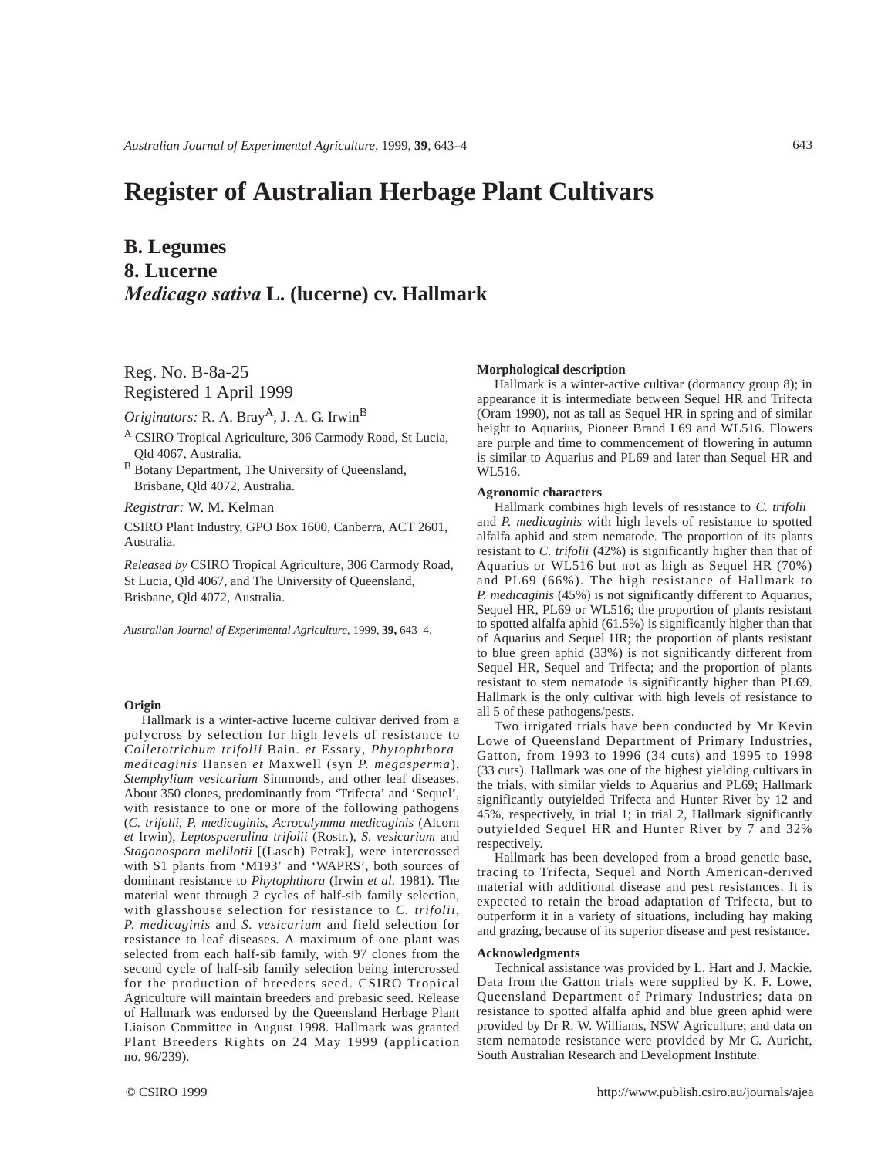# **Register of Australian Herbage Plant Cultivars**

## **B. Legumes 8. Lucerne** *Medicago sativa* **L. (lucerne) cv. Hallmark**

Reg. No. B-8a-25 Registered 1 April 1999

*Originators:* R. A. Bray<sup>A</sup>, J. A. G. Irwin<sup>B</sup>

<sup>A</sup> CSIRO Tropical Agriculture, 306 Carmody Road, St Lucia, Qld 4067, Australia.

B Botany Department, The University of Queensland, Brisbane, Qld 4072, Australia.

*Registrar:* W. M. Kelman

CSIRO Plant Industry, GPO Box 1600, Canberra, ACT 2601, Australia.

*Released by* CSIRO Tropical Agriculture, 306 Carmody Road, St Lucia, Qld 4067, and The University of Queensland, Brisbane, Qld 4072, Australia.

*Australian Journal of Experimental Agriculture,* 1999, **39,** 643–4.

### **Origin**

Hallmark is a winter-active lucerne cultivar derived from a polycross by selection for high levels of resistance to *Colletotrichum trifolii* Bain. *et* Essary*, Phytophthora medicaginis* Hansen *et* Maxwell (syn *P. megasperma*), *Stemphylium vesicarium* Simmonds, and other leaf diseases. About 350 clones, predominantly from 'Trifecta' and 'Sequel', with resistance to one or more of the following pathogens (*C. trifolii*, *P. medicaginis*, *Acrocalymma medicaginis* (Alcorn *et* Irwin), *Leptospaerulina trifolii* (Rostr.), *S. vesicarium* and *Stagonospora melilotii* [(Lasch) Petrak], were intercrossed with S1 plants from 'M193' and 'WAPRS', both sources of dominant resistance to *Phytophthora* (Irwin *et al.* 1981). The material went through 2 cycles of half-sib family selection, with glasshouse selection for resistance to *C. trifolii*, *P. medicaginis* and *S. vesicarium* and field selection for resistance to leaf diseases. A maximum of one plant was selected from each half-sib family, with 97 clones from the second cycle of half-sib family selection being intercrossed for the production of breeders seed. CSIRO Tropical Agriculture will maintain breeders and prebasic seed. Release of Hallmark was endorsed by the Queensland Herbage Plant Liaison Committee in August 1998. Hallmark was granted Plant Breeders Rights on 24 May 1999 (application no. 96/239).

#### **Morphological description**

Hallmark is a winter-active cultivar (dormancy group 8); in appearance it is intermediate between Sequel HR and Trifecta (Oram 1990), not as tall as Sequel HR in spring and of similar height to Aquarius, Pioneer Brand L69 and WL516. Flowers are purple and time to commencement of flowering in autumn is similar to Aquarius and PL69 and later than Sequel HR and WL516.

#### **Agronomic characters**

Hallmark combines high levels of resistance to *C. trifolii* and *P. medicaginis* with high levels of resistance to spotted alfalfa aphid and stem nematode. The proportion of its plants resistant to *C. trifolii* (42%) is significantly higher than that of Aquarius or WL516 but not as high as Sequel HR (70%) and PL69 (66%). The high resistance of Hallmark to *P. medicaginis* (45%) is not significantly different to Aquarius, Sequel HR, PL69 or WL516; the proportion of plants resistant to spotted alfalfa aphid (61.5%) is significantly higher than that of Aquarius and Sequel HR; the proportion of plants resistant to blue green aphid (33%) is not significantly different from Sequel HR, Sequel and Trifecta; and the proportion of plants resistant to stem nematode is significantly higher than PL69. Hallmark is the only cultivar with high levels of resistance to all 5 of these pathogens/pests.

Two irrigated trials have been conducted by Mr Kevin Lowe of Queensland Department of Primary Industries, Gatton, from 1993 to 1996 (34 cuts) and 1995 to 1998 (33 cuts). Hallmark was one of the highest yielding cultivars in the trials, with similar yields to Aquarius and PL69; Hallmark significantly outyielded Trifecta and Hunter River by 12 and 45%, respectively, in trial 1; in trial 2, Hallmark significantly outyielded Sequel HR and Hunter River by 7 and 32% respectively.

Hallmark has been developed from a broad genetic base, tracing to Trifecta, Sequel and North American-derived material with additional disease and pest resistances. It is expected to retain the broad adaptation of Trifecta, but to outperform it in a variety of situations, including hay making and grazing, because of its superior disease and pest resistance.

#### **Acknowledgments**

Technical assistance was provided by L. Hart and J. Mackie. Data from the Gatton trials were supplied by K. F. Lowe, Queensland Department of Primary Industries; data on resistance to spotted alfalfa aphid and blue green aphid were provided by Dr R. W. Williams, NSW Agriculture; and data on stem nematode resistance were provided by Mr G. Auricht, South Australian Research and Development Institute.